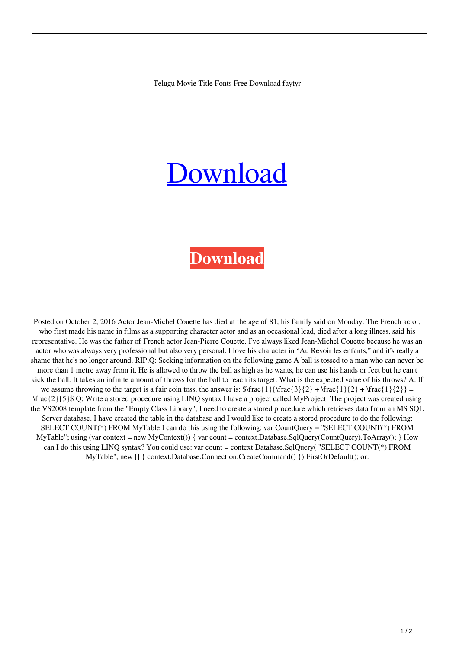Telugu Movie Title Fonts Free Download faytyr

## [Download](http://evacdir.com/rogerbeta/ZG93bmxvYWR8eWo5TVRGdWEzeDhNVFkxTWpRMk16QTFNSHg4TWpVM05IeDhLRTBwSUhKbFlXUXRZbXh2WnlCYlJtRnpkQ0JIUlU1ZA/anchoring/bespoke/concessionary.freshener.frightening/pronounced/VGVsdWd1IE1vdmllIFRpdGxlIEZvbnRzIEZyZWUgRG93bmxvYWQVGV)

## **[Download](http://evacdir.com/rogerbeta/ZG93bmxvYWR8eWo5TVRGdWEzeDhNVFkxTWpRMk16QTFNSHg4TWpVM05IeDhLRTBwSUhKbFlXUXRZbXh2WnlCYlJtRnpkQ0JIUlU1ZA/anchoring/bespoke/concessionary.freshener.frightening/pronounced/VGVsdWd1IE1vdmllIFRpdGxlIEZvbnRzIEZyZWUgRG93bmxvYWQVGV)**

Posted on October 2, 2016 Actor Jean-Michel Couette has died at the age of 81, his family said on Monday. The French actor, who first made his name in films as a supporting character actor and as an occasional lead, died after a long illness, said his representative. He was the father of French actor Jean-Pierre Couette. I've always liked Jean-Michel Couette because he was an actor who was always very professional but also very personal. I love his character in "Au Revoir les enfants," and it's really a shame that he's no longer around. RIP.Q: Seeking information on the following game A ball is tossed to a man who can never be more than 1 metre away from it. He is allowed to throw the ball as high as he wants, he can use his hands or feet but he can't kick the ball. It takes an infinite amount of throws for the ball to reach its target. What is the expected value of his throws? A: If we assume throwing to the target is a fair coin toss, the answer is:  $\frac{1}{\frac{3}{2} + \frac{1}{2} + \frac{1}{2}} =$ \frac{2}{5}\$ Q: Write a stored procedure using LINQ syntax I have a project called MyProject. The project was created using the VS2008 template from the "Empty Class Library", I need to create a stored procedure which retrieves data from an MS SQL Server database. I have created the table in the database and I would like to create a stored procedure to do the following: SELECT COUNT(\*) FROM MyTable I can do this using the following: var CountQuery = "SELECT COUNT(\*) FROM MyTable"; using (var context = new MyContext()) { var count = context.Database.SqlQuery(CountQuery).ToArray(); } How can I do this using LINQ syntax? You could use: var count = context.Database.SqlQuery( "SELECT COUNT(\*) FROM MyTable", new [] { context.Database.Connection.CreateCommand() }).FirstOrDefault(); or: